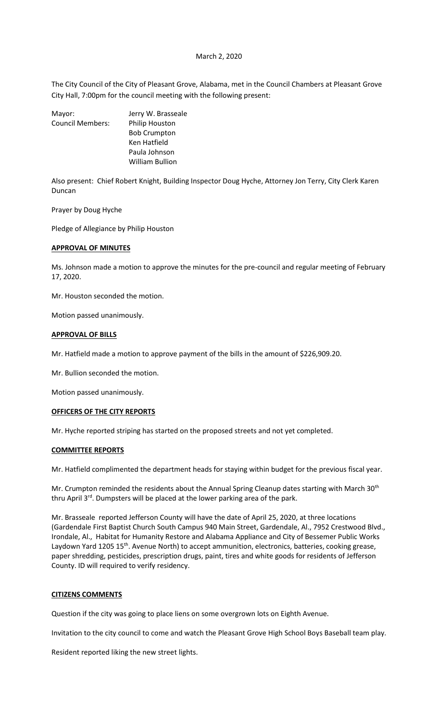#### March 2, 2020

The City Council of the City of Pleasant Grove, Alabama, met in the Council Chambers at Pleasant Grove City Hall, 7:00pm for the council meeting with the following present:

| Jerry W. Brasseale     |
|------------------------|
| <b>Philip Houston</b>  |
| <b>Bob Crumpton</b>    |
| Ken Hatfield           |
| Paula Johnson          |
| <b>William Bullion</b> |
|                        |

Also present: Chief Robert Knight, Building Inspector Doug Hyche, Attorney Jon Terry, City Clerk Karen Duncan

Prayer by Doug Hyche

Pledge of Allegiance by Philip Houston

# **APPROVAL OF MINUTES**

Ms. Johnson made a motion to approve the minutes for the pre-council and regular meeting of February 17, 2020.

Mr. Houston seconded the motion.

Motion passed unanimously.

#### **APPROVAL OF BILLS**

Mr. Hatfield made a motion to approve payment of the bills in the amount of \$226,909.20.

Mr. Bullion seconded the motion.

Motion passed unanimously.

## **OFFICERS OF THE CITY REPORTS**

Mr. Hyche reported striping has started on the proposed streets and not yet completed.

#### **COMMITTEE REPORTS**

Mr. Hatfield complimented the department heads for staying within budget for the previous fiscal year.

Mr. Crumpton reminded the residents about the Annual Spring Cleanup dates starting with March 30<sup>th</sup> thru April 3<sup>rd</sup>. Dumpsters will be placed at the lower parking area of the park.

Mr. Brasseale reported Jefferson County will have the date of April 25, 2020, at three locations (Gardendale First Baptist Church South Campus 940 Main Street, Gardendale, Al., 7952 Crestwood Blvd., Irondale, Al., Habitat for Humanity Restore and Alabama Appliance and City of Bessemer Public Works Laydown Yard 1205 15<sup>th</sup>. Avenue North) to accept ammunition, electronics, batteries, cooking grease, paper shredding, pesticides, prescription drugs, paint, tires and white goods for residents of Jefferson County. ID will required to verify residency.

## **CITIZENS COMMENTS**

Question if the city was going to place liens on some overgrown lots on Eighth Avenue.

Invitation to the city council to come and watch the Pleasant Grove High School Boys Baseball team play.

Resident reported liking the new street lights.